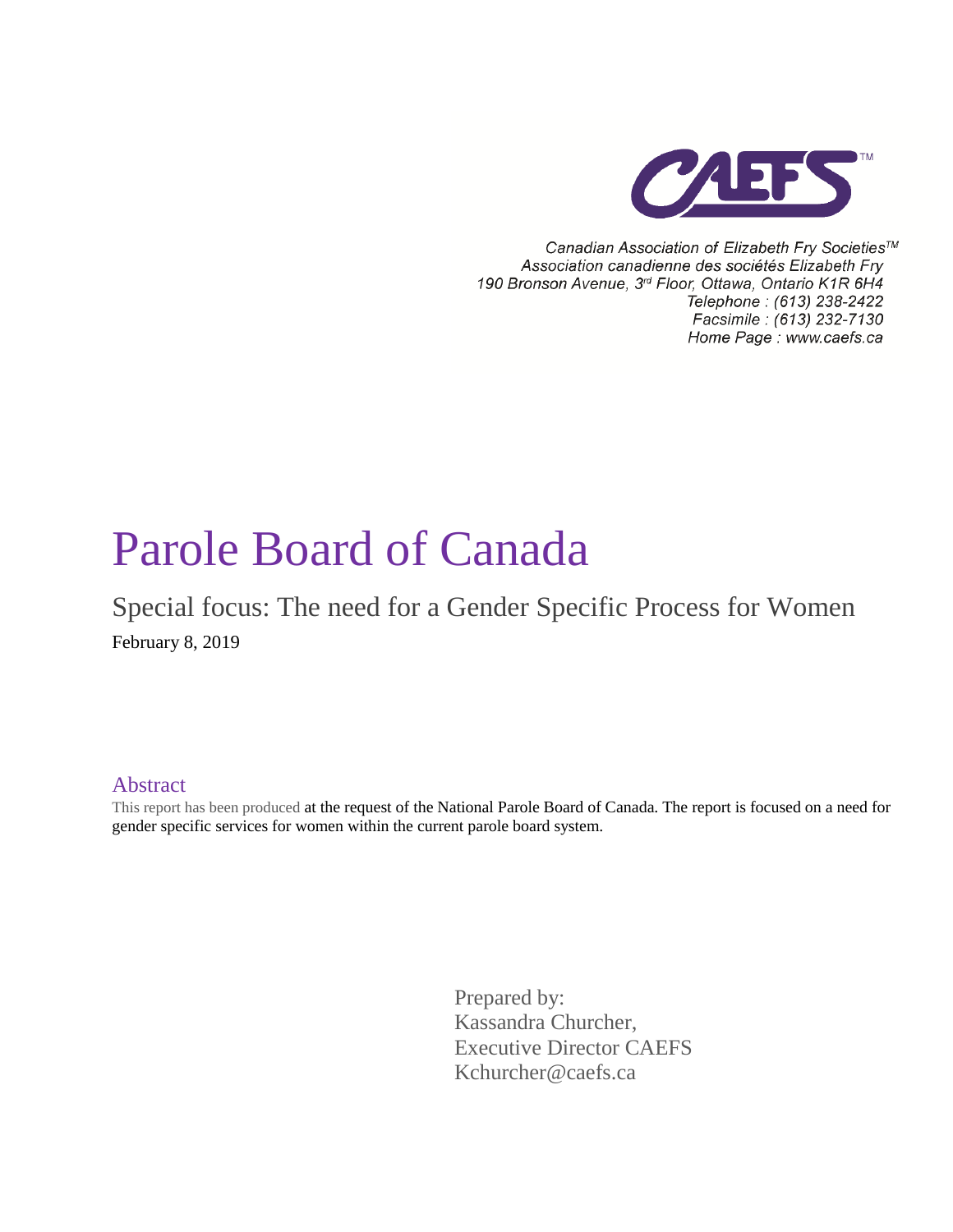

Canadian Association of Elizabeth Fry Societies™ Association canadienne des sociétés Elizabeth Fry 190 Bronson Avenue, 3rd Floor, Ottawa, Ontario K1R 6H4 Telephone: (613) 238-2422 Facsimile : (613) 232-7130 Home Page: www.caefs.ca

# Parole Board of Canada

Special focus: The need for a Gender Specific Process for Women February 8, 2019

#### Abstract

This report has been produced at the request of the National Parole Board of Canada. The report is focused on a need for gender specific services for women within the current parole board system.

> Prepared by: Kassandra Churcher, Executive Director CAEFS Kchurcher@caefs.ca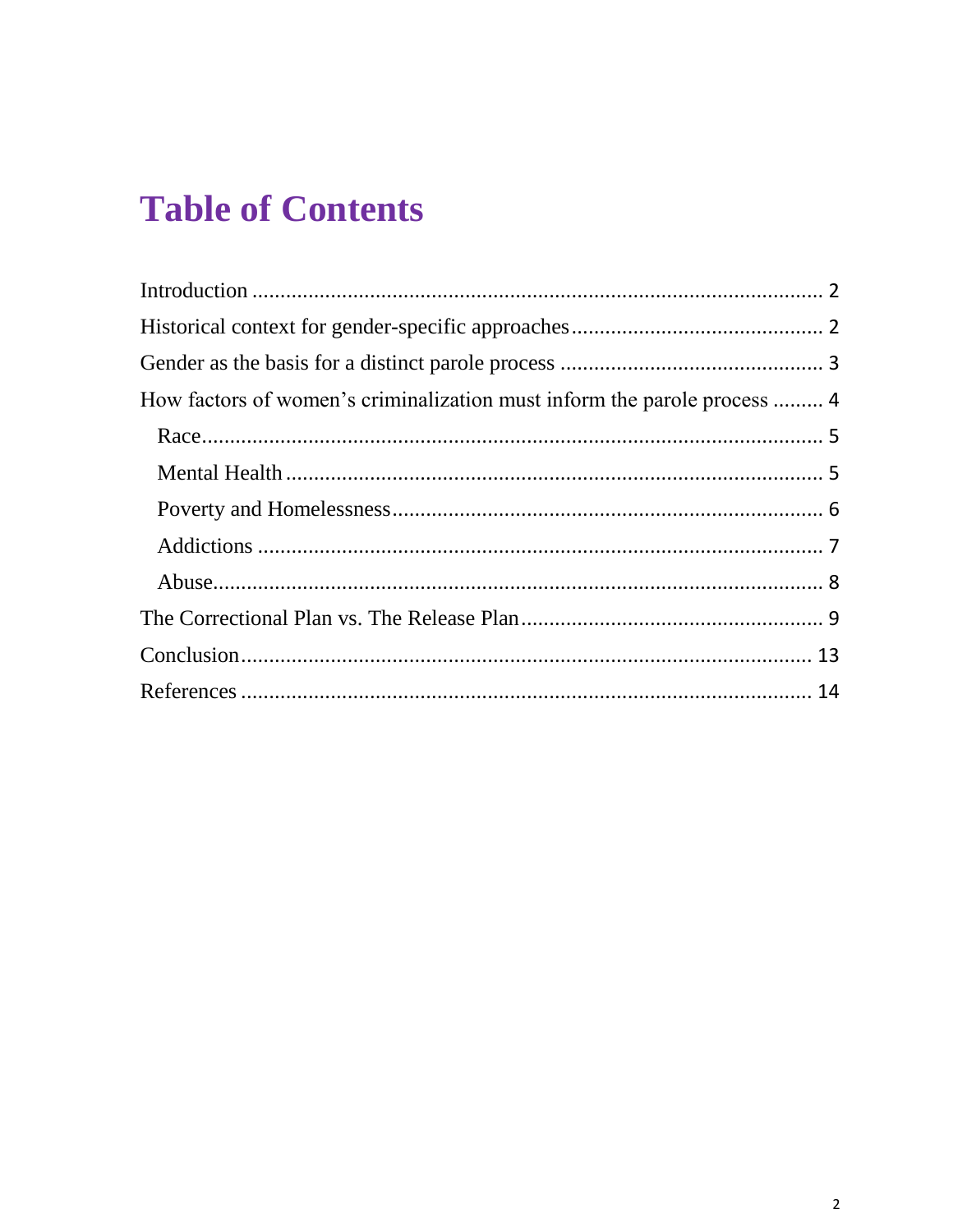## **Table of Contents**

| How factors of women's criminalization must inform the parole process  4 |  |
|--------------------------------------------------------------------------|--|
|                                                                          |  |
|                                                                          |  |
|                                                                          |  |
|                                                                          |  |
|                                                                          |  |
|                                                                          |  |
|                                                                          |  |
|                                                                          |  |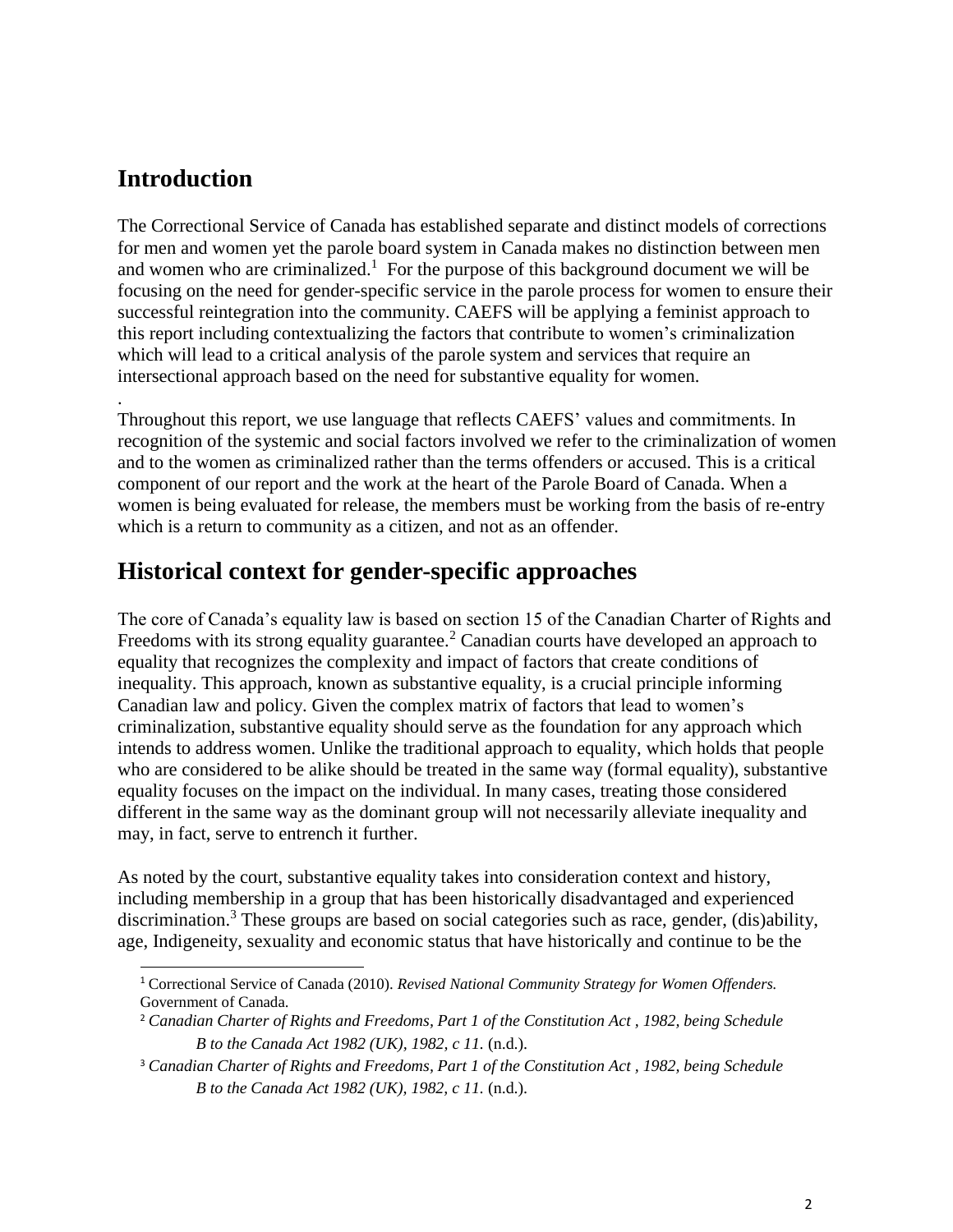## <span id="page-2-0"></span>**Introduction**

.

The Correctional Service of Canada has established separate and distinct models of corrections for men and women yet the parole board system in Canada makes no distinction between men and women who are criminalized.<sup>1</sup> For the purpose of this background document we will be focusing on the need for gender-specific service in the parole process for women to ensure their successful reintegration into the community. CAEFS will be applying a feminist approach to this report including contextualizing the factors that contribute to women's criminalization which will lead to a critical analysis of the parole system and services that require an intersectional approach based on the need for substantive equality for women.

Throughout this report, we use language that reflects CAEFS' values and commitments. In recognition of the systemic and social factors involved we refer to the criminalization of women and to the women as criminalized rather than the terms offenders or accused. This is a critical component of our report and the work at the heart of the Parole Board of Canada. When a women is being evaluated for release, the members must be working from the basis of re-entry which is a return to community as a citizen, and not as an offender.

## <span id="page-2-1"></span>**Historical context for gender-specific approaches**

The core of Canada's equality law is based on section 15 of the Canadian Charter of Rights and Freedoms with its strong equality guarantee.<sup>2</sup> Canadian courts have developed an approach to equality that recognizes the complexity and impact of factors that create conditions of inequality. This approach, known as substantive equality, is a crucial principle informing Canadian law and policy. Given the complex matrix of factors that lead to women's criminalization, substantive equality should serve as the foundation for any approach which intends to address women. Unlike the traditional approach to equality, which holds that people who are considered to be alike should be treated in the same way (formal equality), substantive equality focuses on the impact on the individual. In many cases, treating those considered different in the same way as the dominant group will not necessarily alleviate inequality and may, in fact, serve to entrench it further.

As noted by the court, substantive equality takes into consideration context and history, including membership in a group that has been historically disadvantaged and experienced discrimination.<sup>3</sup> These groups are based on social categories such as race, gender, (dis)ability, age, Indigeneity, sexuality and economic status that have historically and continue to be the

 $\overline{a}$ <sup>1</sup> Correctional Service of Canada (2010). *Revised National Community Strategy for Women Offenders.*  Government of Canada.

<sup>2</sup> *Canadian Charter of Rights and Freedoms, Part 1 of the Constitution Act , 1982, being Schedule B to the Canada Act 1982 (UK), 1982, c 11.* (n.d.).

<sup>3</sup> *Canadian Charter of Rights and Freedoms, Part 1 of the Constitution Act , 1982, being Schedule B to the Canada Act 1982 (UK), 1982, c 11.* (n.d.).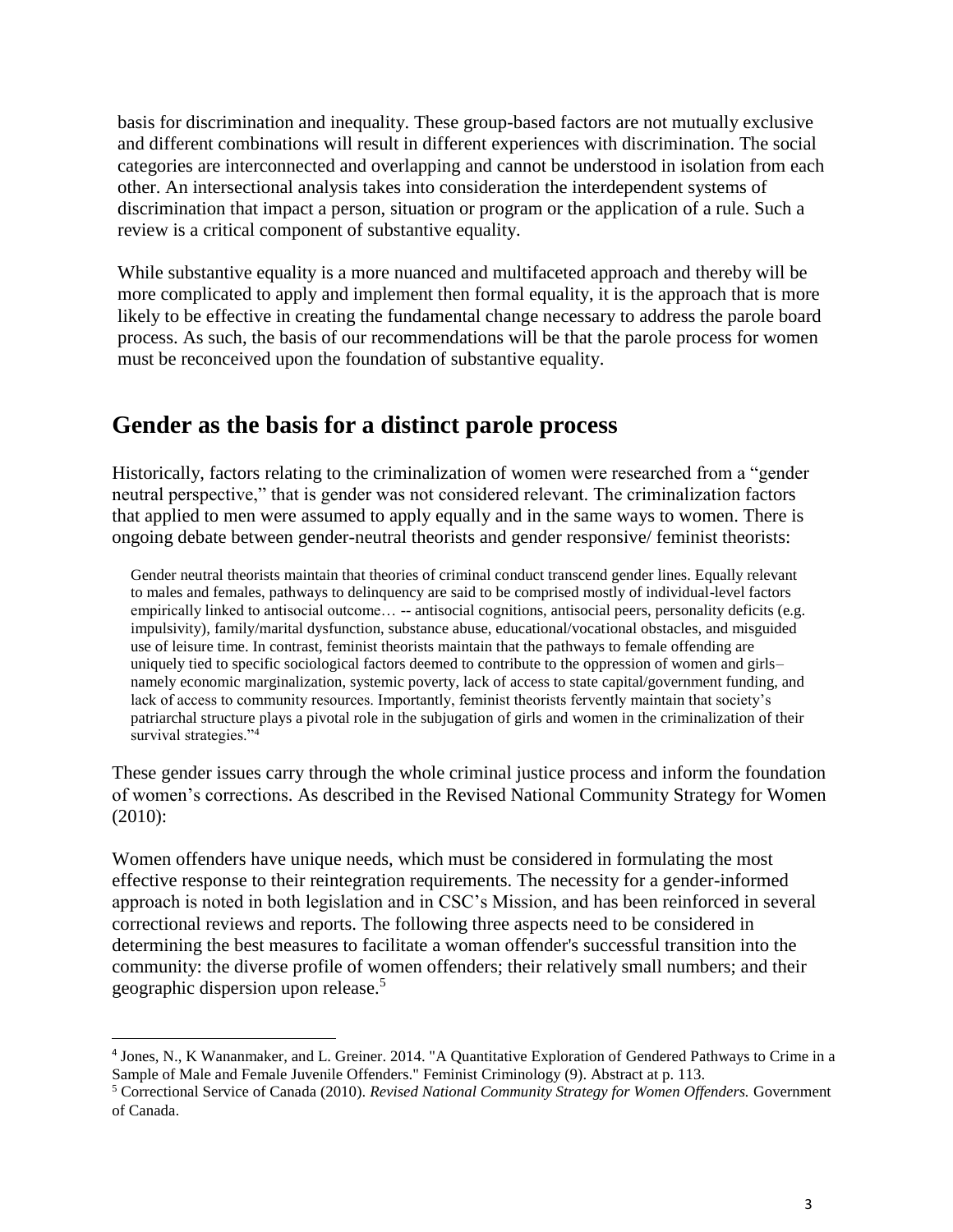basis for discrimination and inequality. These group-based factors are not mutually exclusive and different combinations will result in different experiences with discrimination. The social categories are interconnected and overlapping and cannot be understood in isolation from each other. An intersectional analysis takes into consideration the interdependent systems of discrimination that impact a person, situation or program or the application of a rule. Such a review is a critical component of substantive equality.

While substantive equality is a more nuanced and multifaceted approach and thereby will be more complicated to apply and implement then formal equality, it is the approach that is more likely to be effective in creating the fundamental change necessary to address the parole board process. As such, the basis of our recommendations will be that the parole process for women must be reconceived upon the foundation of substantive equality.

## <span id="page-3-0"></span>**Gender as the basis for a distinct parole process**

Historically, factors relating to the criminalization of women were researched from a "gender neutral perspective," that is gender was not considered relevant. The criminalization factors that applied to men were assumed to apply equally and in the same ways to women. There is ongoing debate between gender-neutral theorists and gender responsive/ feminist theorists:

Gender neutral theorists maintain that theories of criminal conduct transcend gender lines. Equally relevant to males and females, pathways to delinquency are said to be comprised mostly of individual-level factors empirically linked to antisocial outcome... -- antisocial cognitions, antisocial peers, personality deficits (e.g. impulsivity), family/marital dysfunction, substance abuse, educational/vocational obstacles, and misguided use of leisure time. In contrast, feminist theorists maintain that the pathways to female offending are uniquely tied to specific sociological factors deemed to contribute to the oppression of women and girls– namely economic marginalization, systemic poverty, lack of access to state capital/government funding, and lack of access to community resources. Importantly, feminist theorists fervently maintain that society's patriarchal structure plays a pivotal role in the subjugation of girls and women in the criminalization of their survival strategies."<sup>4</sup>

These gender issues carry through the whole criminal justice process and inform the foundation of women's corrections. As described in the Revised National Community Strategy for Women (2010):

Women offenders have unique needs, which must be considered in formulating the most effective response to their reintegration requirements. The necessity for a gender-informed approach is noted in both legislation and in CSC's Mission, and has been reinforced in several correctional reviews and reports. The following three aspects need to be considered in determining the best measures to facilitate a woman offender's successful transition into the community: the diverse profile of women offenders; their relatively small numbers; and their geographic dispersion upon release.<sup>5</sup>

<sup>4</sup> Jones, N., K Wananmaker, and L. Greiner. 2014. "A Quantitative Exploration of Gendered Pathways to Crime in a Sample of Male and Female Juvenile Offenders." Feminist Criminology (9). Abstract at p. 113.

<sup>5</sup> Correctional Service of Canada (2010). *Revised National Community Strategy for Women Offenders.* Government of Canada.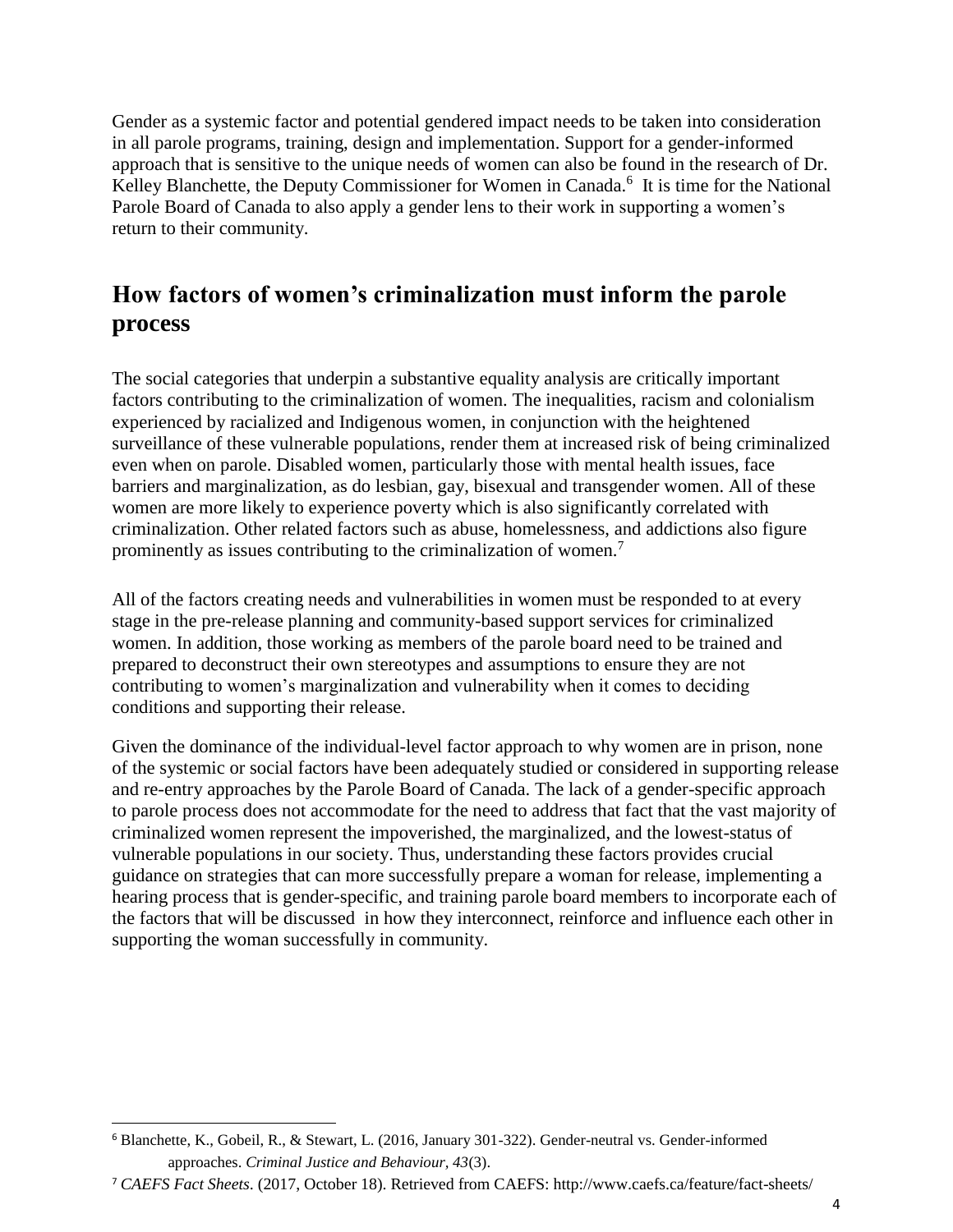Gender as a systemic factor and potential gendered impact needs to be taken into consideration in all parole programs, training, design and implementation. Support for a gender-informed approach that is sensitive to the unique needs of women can also be found in the research of Dr. Kelley Blanchette, the Deputy Commissioner for Women in Canada.<sup>6</sup> It is time for the National Parole Board of Canada to also apply a gender lens to their work in supporting a women's return to their community.

## <span id="page-4-0"></span>**How factors of women's criminalization must inform the parole process**

The social categories that underpin a substantive equality analysis are critically important factors contributing to the criminalization of women. The inequalities, racism and colonialism experienced by racialized and Indigenous women, in conjunction with the heightened surveillance of these vulnerable populations, render them at increased risk of being criminalized even when on parole. Disabled women, particularly those with mental health issues, face barriers and marginalization, as do lesbian, gay, bisexual and transgender women. All of these women are more likely to experience poverty which is also significantly correlated with criminalization. Other related factors such as abuse, homelessness, and addictions also figure prominently as issues contributing to the criminalization of women.<sup>7</sup>

All of the factors creating needs and vulnerabilities in women must be responded to at every stage in the pre-release planning and community-based support services for criminalized women. In addition, those working as members of the parole board need to be trained and prepared to deconstruct their own stereotypes and assumptions to ensure they are not contributing to women's marginalization and vulnerability when it comes to deciding conditions and supporting their release.

Given the dominance of the individual-level factor approach to why women are in prison, none of the systemic or social factors have been adequately studied or considered in supporting release and re-entry approaches by the Parole Board of Canada. The lack of a gender-specific approach to parole process does not accommodate for the need to address that fact that the vast majority of criminalized women represent the impoverished, the marginalized, and the lowest-status of vulnerable populations in our society. Thus, understanding these factors provides crucial guidance on strategies that can more successfully prepare a woman for release, implementing a hearing process that is gender-specific, and training parole board members to incorporate each of the factors that will be discussed in how they interconnect, reinforce and influence each other in supporting the woman successfully in community.

 $\overline{a}$ <sup>6</sup> Blanchette, K., Gobeil, R., & Stewart, L. (2016, January 301-322). Gender-neutral vs. Gender-informed approaches. *Criminal Justice and Behaviour, 43*(3).

<sup>7</sup> *CAEFS Fact Sheets*. (2017, October 18). Retrieved from CAEFS: http://www.caefs.ca/feature/fact-sheets/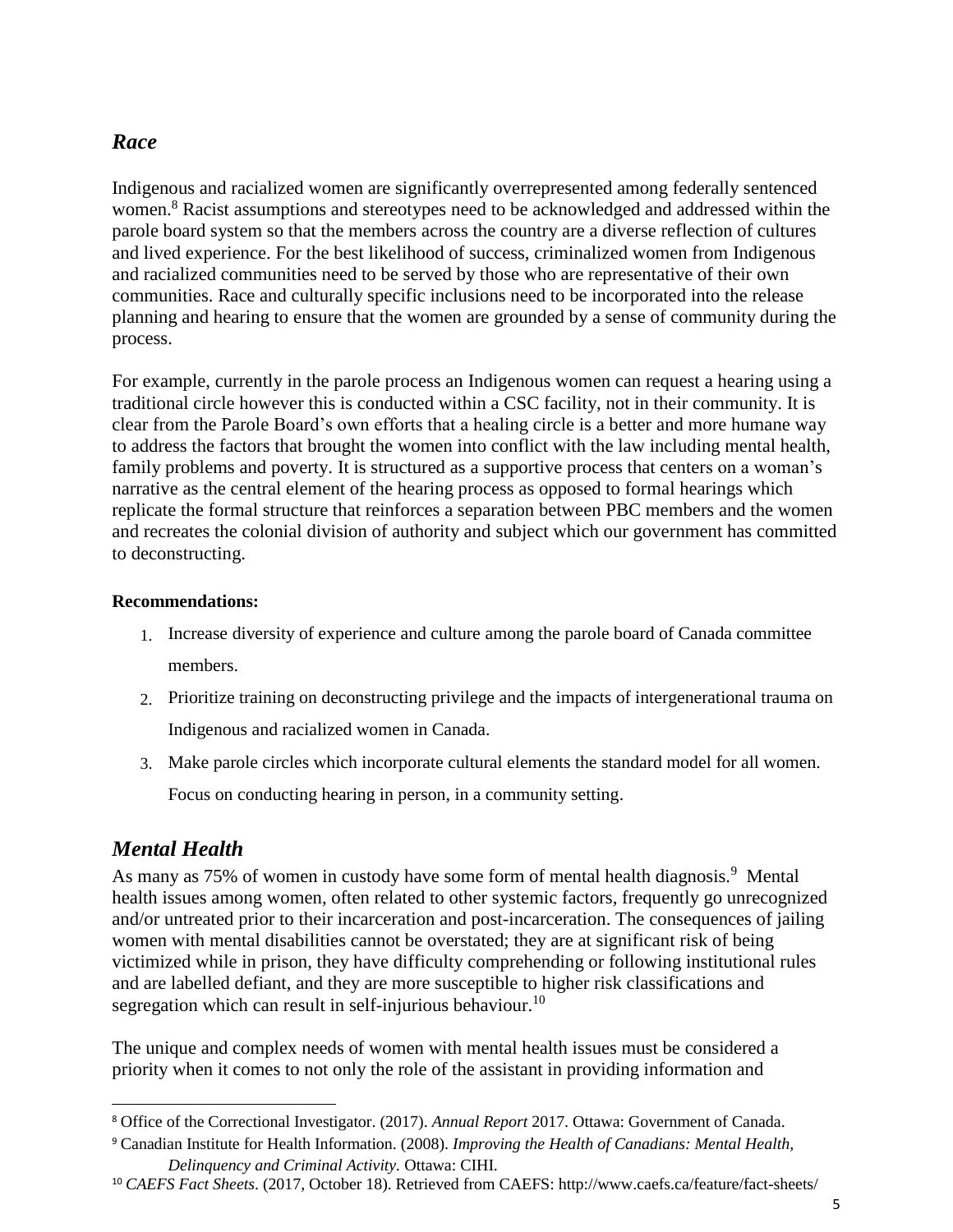#### <span id="page-5-0"></span>*Race*

Indigenous and racialized women are significantly overrepresented among federally sentenced women.<sup>8</sup> Racist assumptions and stereotypes need to be acknowledged and addressed within the parole board system so that the members across the country are a diverse reflection of cultures and lived experience. For the best likelihood of success, criminalized women from Indigenous and racialized communities need to be served by those who are representative of their own communities. Race and culturally specific inclusions need to be incorporated into the release planning and hearing to ensure that the women are grounded by a sense of community during the process.

For example, currently in the parole process an Indigenous women can request a hearing using a traditional circle however this is conducted within a CSC facility, not in their community. It is clear from the Parole Board's own efforts that a healing circle is a better and more humane way to address the factors that brought the women into conflict with the law including mental health, family problems and poverty. It is structured as a supportive process that centers on a woman's narrative as the central element of the hearing process as opposed to formal hearings which replicate the formal structure that reinforces a separation between PBC members and the women and recreates the colonial division of authority and subject which our government has committed to deconstructing.

#### **Recommendations:**

- 1. Increase diversity of experience and culture among the parole board of Canada committee members.
- 2. Prioritize training on deconstructing privilege and the impacts of intergenerational trauma on Indigenous and racialized women in Canada.
- 3. Make parole circles which incorporate cultural elements the standard model for all women.

Focus on conducting hearing in person, in a community setting.

## <span id="page-5-1"></span>*Mental Health*

 $\overline{a}$ 

As many as 75% of women in custody have some form of mental health diagnosis.<sup>9</sup> Mental health issues among women, often related to other systemic factors, frequently go unrecognized and/or untreated prior to their incarceration and post-incarceration. The consequences of jailing women with mental disabilities cannot be overstated; they are at significant risk of being victimized while in prison, they have difficulty comprehending or following institutional rules and are labelled defiant, and they are more susceptible to higher risk classifications and segregation which can result in self-injurious behaviour.<sup>10</sup>

The unique and complex needs of women with mental health issues must be considered a priority when it comes to not only the role of the assistant in providing information and

<sup>8</sup> Office of the Correctional Investigator. (2017). *Annual Report* 2017. Ottawa: Government of Canada.

<sup>9</sup> Canadian Institute for Health Information. (2008). *Improving the Health of Canadians: Mental Health, Delinquency and Criminal Activity.* Ottawa: CIHI.

<sup>10</sup> *CAEFS Fact Sheets*. (2017, October 18). Retrieved from CAEFS: http://www.caefs.ca/feature/fact-sheets/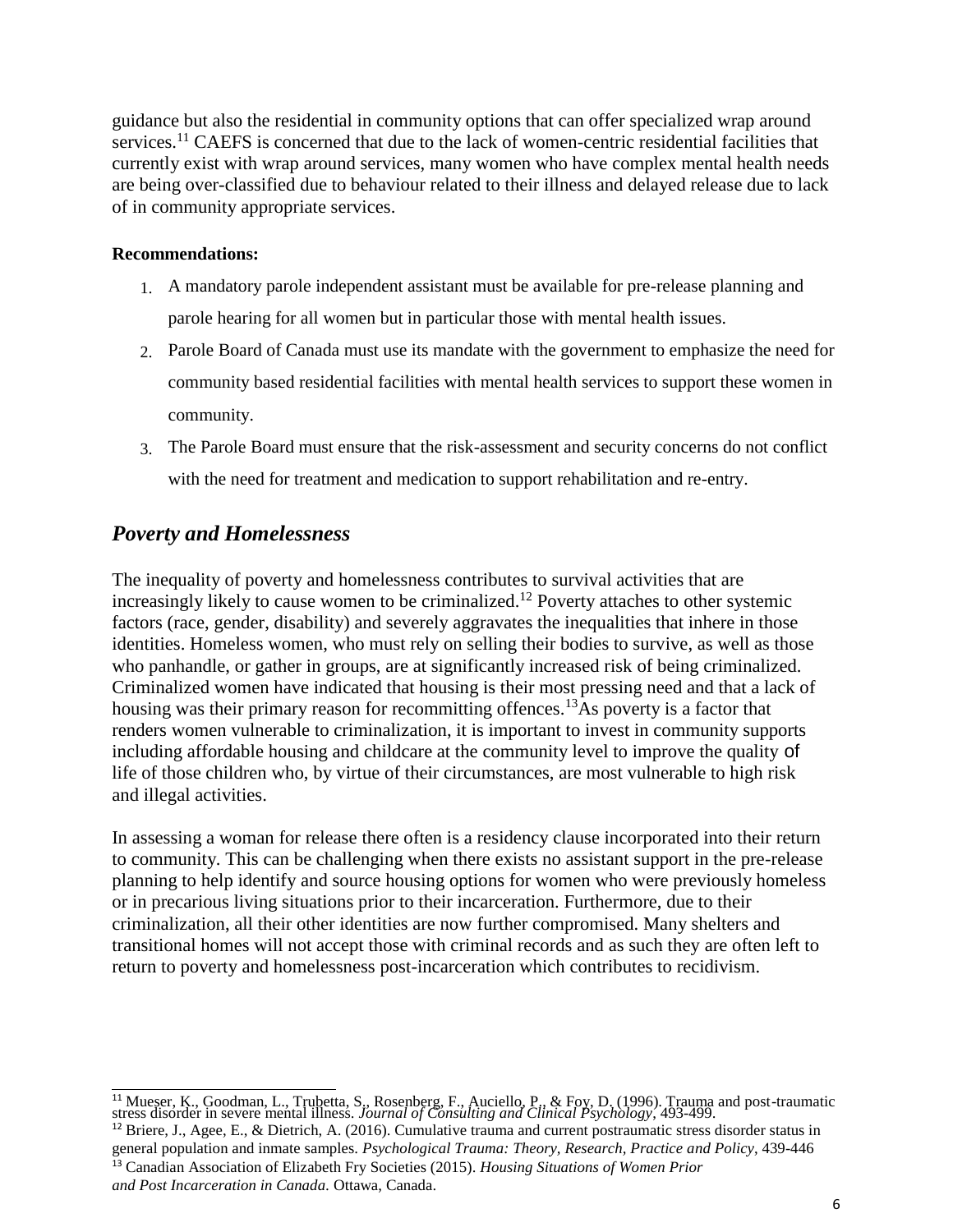guidance but also the residential in community options that can offer specialized wrap around services.<sup>11</sup> CAEFS is concerned that due to the lack of women-centric residential facilities that currently exist with wrap around services, many women who have complex mental health needs are being over-classified due to behaviour related to their illness and delayed release due to lack of in community appropriate services.

#### **Recommendations:**

- 1. A mandatory parole independent assistant must be available for pre-release planning and parole hearing for all women but in particular those with mental health issues.
- 2. Parole Board of Canada must use its mandate with the government to emphasize the need for community based residential facilities with mental health services to support these women in community.
- 3. The Parole Board must ensure that the risk-assessment and security concerns do not conflict with the need for treatment and medication to support rehabilitation and re-entry.

### <span id="page-6-0"></span>*Poverty and Homelessness*

The inequality of poverty and homelessness contributes to survival activities that are increasingly likely to cause women to be criminalized.<sup>12</sup> Poverty attaches to other systemic factors (race, gender, disability) and severely aggravates the inequalities that inhere in those identities. Homeless women, who must rely on selling their bodies to survive, as well as those who panhandle, or gather in groups, are at significantly increased risk of being criminalized. Criminalized women have indicated that housing is their most pressing need and that a lack of housing was their primary reason for recommitting offences.<sup>13</sup>As poverty is a factor that renders women vulnerable to criminalization, it is important to invest in community supports including affordable housing and childcare at the community level to improve the quality of life of those children who, by virtue of their circumstances, are most vulnerable to high risk and illegal activities.

In assessing a woman for release there often is a residency clause incorporated into their return to community. This can be challenging when there exists no assistant support in the pre-release planning to help identify and source housing options for women who were previously homeless or in precarious living situations prior to their incarceration. Furthermore, due to their criminalization, all their other identities are now further compromised. Many shelters and transitional homes will not accept those with criminal records and as such they are often left to return to poverty and homelessness post-incarceration which contributes to recidivism.

general population and inmate samples. *Psychological Trauma: Theory, Research, Practice and Policy*, 439-446 <sup>13</sup> Canadian Association of Elizabeth Fry Societies (2015). *Housing Situations of Women Prior and Post Incarceration in Canada.* Ottawa, Canada.

 <sup>11</sup> Mueser, K., Goodman, L., Trubetta, S., Rosenberg, F., Auciello, P., & Foy, D. (1996). Trauma and post-traumatic stress disorder in severe mental illness. *Journal of Consulting and Clinical Psychology*, 493-499. <sup>12</sup> Briere, J., Agee, E., & Dietrich, A. (2016). Cumulative trauma and current postraumatic stress disorder status in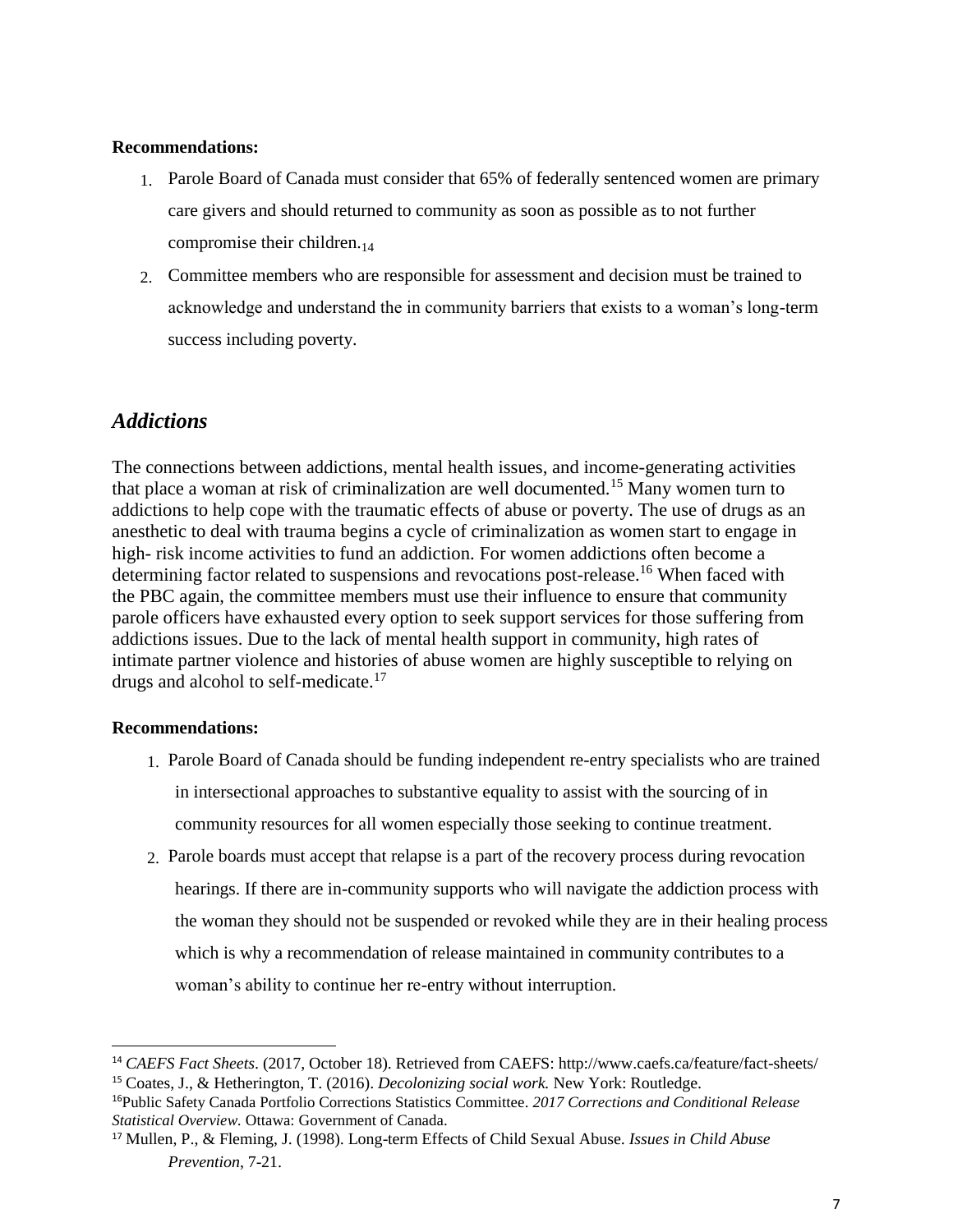#### **Recommendations:**

- 1. Parole Board of Canada must consider that 65% of federally sentenced women are primary care givers and should returned to community as soon as possible as to not further compromise their children. $_{14}$
- 2. Committee members who are responsible for assessment and decision must be trained to acknowledge and understand the in community barriers that exists to a woman's long-term success including poverty.

#### <span id="page-7-0"></span>*Addictions*

The connections between addictions, mental health issues, and income-generating activities that place a woman at risk of criminalization are well documented.<sup>15</sup> Many women turn to addictions to help cope with the traumatic effects of abuse or poverty. The use of drugs as an anesthetic to deal with trauma begins a cycle of criminalization as women start to engage in high- risk income activities to fund an addiction. For women addictions often become a determining factor related to suspensions and revocations post-release.<sup>16</sup> When faced with the PBC again, the committee members must use their influence to ensure that community parole officers have exhausted every option to seek support services for those suffering from addictions issues. Due to the lack of mental health support in community, high rates of intimate partner violence and histories of abuse women are highly susceptible to relying on drugs and alcohol to self-medicate.<sup>17</sup>

#### **Recommendations:**

- 1. Parole Board of Canada should be funding independent re-entry specialists who are trained in intersectional approaches to substantive equality to assist with the sourcing of in community resources for all women especially those seeking to continue treatment.
- 2. Parole boards must accept that relapse is a part of the recovery process during revocation hearings. If there are in-community supports who will navigate the addiction process with the woman they should not be suspended or revoked while they are in their healing process which is why a recommendation of release maintained in community contributes to a woman's ability to continue her re-entry without interruption.

<sup>14</sup> *CAEFS Fact Sheets*. (2017, October 18). Retrieved from CAEFS: http://www.caefs.ca/feature/fact-sheets/ <sup>15</sup> Coates, J., & Hetherington, T. (2016). *Decolonizing social work.* New York: Routledge.

<sup>16</sup>Public Safety Canada Portfolio Corrections Statistics Committee. *2017 Corrections and Conditional Release Statistical Overview.* Ottawa: Government of Canada.

<sup>17</sup> Mullen, P., & Fleming, J. (1998). Long-term Effects of Child Sexual Abuse. *Issues in Child Abuse Prevention*, 7-21.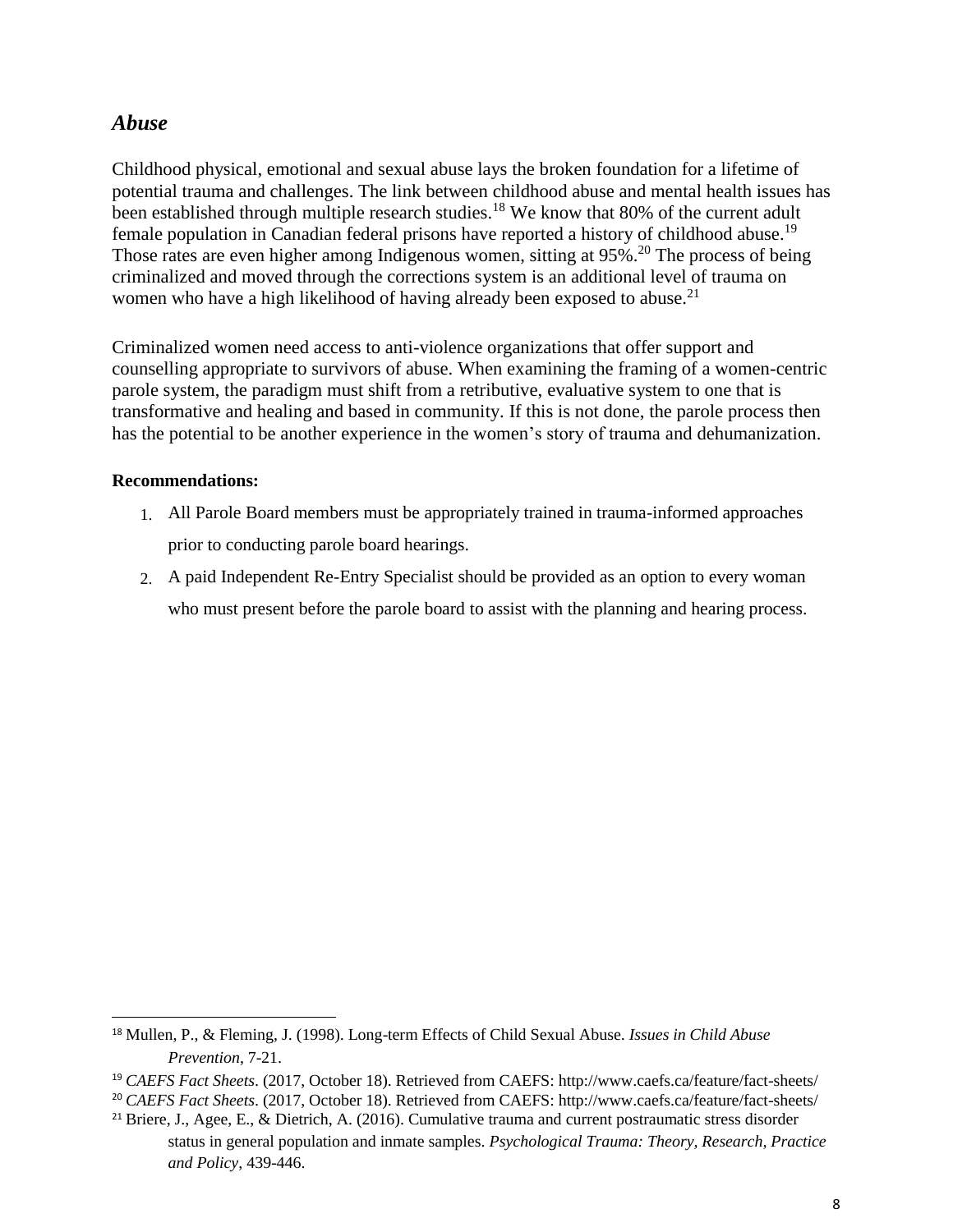#### <span id="page-8-0"></span>*Abuse*

Childhood physical, emotional and sexual abuse lays the broken foundation for a lifetime of potential trauma and challenges. The link between childhood abuse and mental health issues has been established through multiple research studies.<sup>18</sup> We know that 80% of the current adult female population in Canadian federal prisons have reported a history of childhood abuse.<sup>19</sup> Those rates are even higher among Indigenous women, sitting at 95%.<sup>20</sup> The process of being criminalized and moved through the corrections system is an additional level of trauma on women who have a high likelihood of having already been exposed to abuse.<sup>21</sup>

Criminalized women need access to anti-violence organizations that offer support and counselling appropriate to survivors of abuse. When examining the framing of a women-centric parole system, the paradigm must shift from a retributive, evaluative system to one that is transformative and healing and based in community. If this is not done, the parole process then has the potential to be another experience in the women's story of trauma and dehumanization.

#### **Recommendations:**

- 1. All Parole Board members must be appropriately trained in trauma-informed approaches prior to conducting parole board hearings.
- 2. A paid Independent Re-Entry Specialist should be provided as an option to every woman who must present before the parole board to assist with the planning and hearing process.

<sup>18</sup> Mullen, P., & Fleming, J. (1998). Long-term Effects of Child Sexual Abuse. *Issues in Child Abuse Prevention*, 7-21.

<sup>19</sup> *CAEFS Fact Sheets*. (2017, October 18). Retrieved from CAEFS: http://www.caefs.ca/feature/fact-sheets/

<sup>20</sup> *CAEFS Fact Sheets*. (2017, October 18). Retrieved from CAEFS: http://www.caefs.ca/feature/fact-sheets/

<sup>&</sup>lt;sup>21</sup> Briere, J., Agee, E., & Dietrich, A. (2016). Cumulative trauma and current postraumatic stress disorder status in general population and inmate samples. *Psychological Trauma: Theory, Research, Practice and Policy*, 439-446.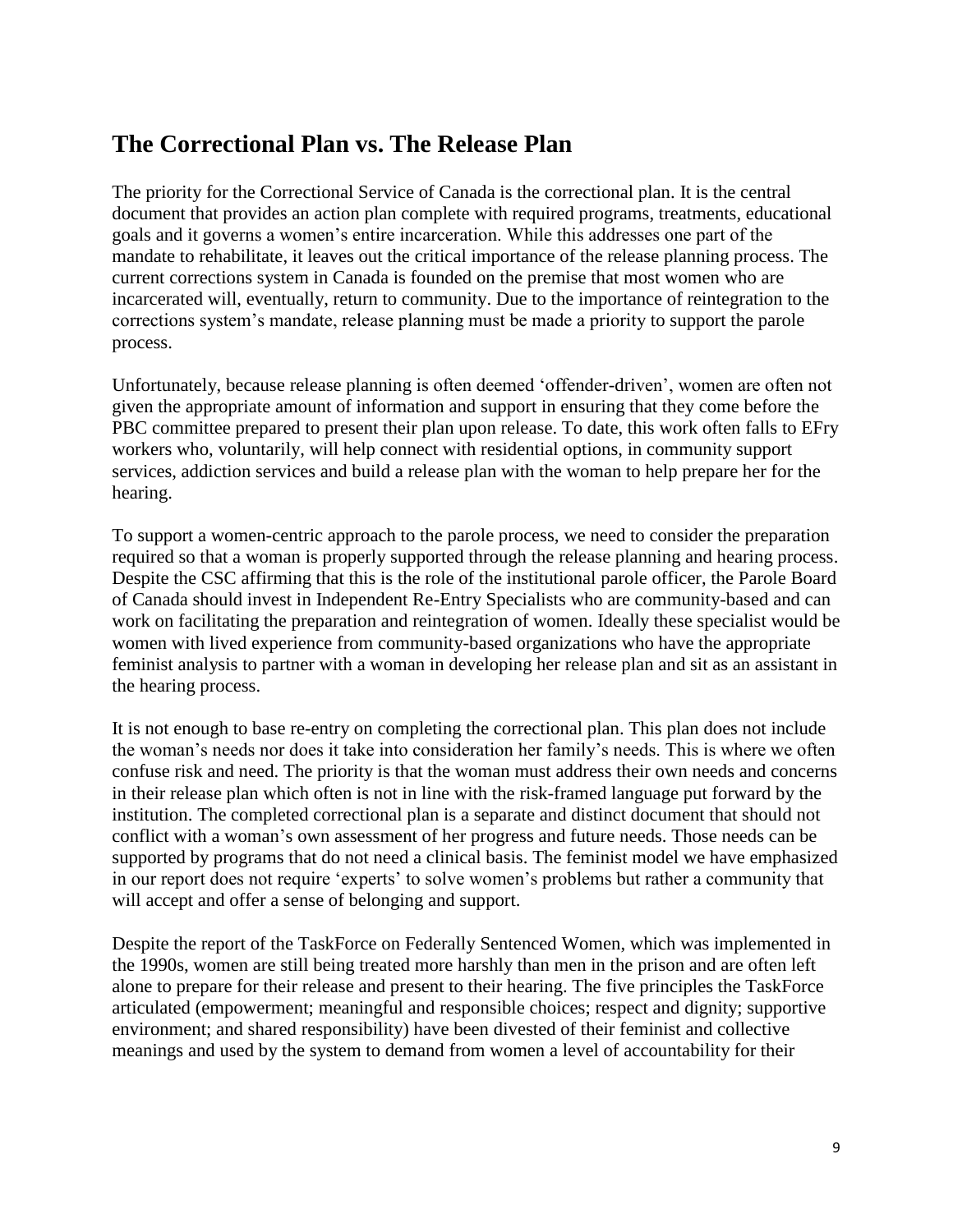## <span id="page-9-0"></span>**The Correctional Plan vs. The Release Plan**

The priority for the Correctional Service of Canada is the correctional plan. It is the central document that provides an action plan complete with required programs, treatments, educational goals and it governs a women's entire incarceration. While this addresses one part of the mandate to rehabilitate, it leaves out the critical importance of the release planning process. The current corrections system in Canada is founded on the premise that most women who are incarcerated will, eventually, return to community. Due to the importance of reintegration to the corrections system's mandate, release planning must be made a priority to support the parole process.

Unfortunately, because release planning is often deemed 'offender-driven', women are often not given the appropriate amount of information and support in ensuring that they come before the PBC committee prepared to present their plan upon release. To date, this work often falls to EFry workers who, voluntarily, will help connect with residential options, in community support services, addiction services and build a release plan with the woman to help prepare her for the hearing.

To support a women-centric approach to the parole process, we need to consider the preparation required so that a woman is properly supported through the release planning and hearing process. Despite the CSC affirming that this is the role of the institutional parole officer, the Parole Board of Canada should invest in Independent Re-Entry Specialists who are community-based and can work on facilitating the preparation and reintegration of women. Ideally these specialist would be women with lived experience from community-based organizations who have the appropriate feminist analysis to partner with a woman in developing her release plan and sit as an assistant in the hearing process.

It is not enough to base re-entry on completing the correctional plan. This plan does not include the woman's needs nor does it take into consideration her family's needs. This is where we often confuse risk and need. The priority is that the woman must address their own needs and concerns in their release plan which often is not in line with the risk-framed language put forward by the institution. The completed correctional plan is a separate and distinct document that should not conflict with a woman's own assessment of her progress and future needs. Those needs can be supported by programs that do not need a clinical basis. The feminist model we have emphasized in our report does not require 'experts' to solve women's problems but rather a community that will accept and offer a sense of belonging and support.

Despite the report of the TaskForce on Federally Sentenced Women, which was implemented in the 1990s, women are still being treated more harshly than men in the prison and are often left alone to prepare for their release and present to their hearing. The five principles the TaskForce articulated (empowerment; meaningful and responsible choices; respect and dignity; supportive environment; and shared responsibility) have been divested of their feminist and collective meanings and used by the system to demand from women a level of accountability for their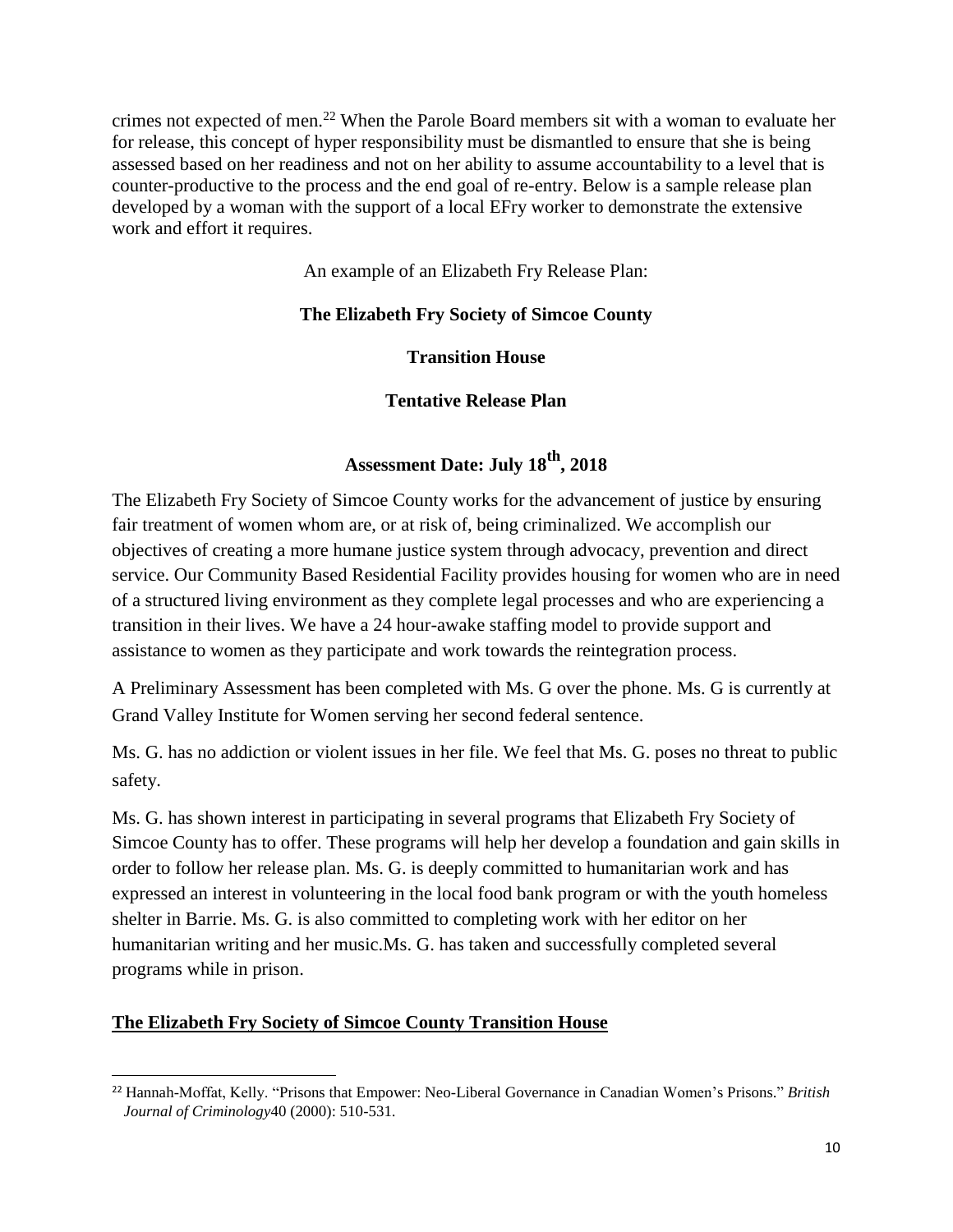crimes not expected of men.<sup>22</sup> When the Parole Board members sit with a woman to evaluate her for release, this concept of hyper responsibility must be dismantled to ensure that she is being assessed based on her readiness and not on her ability to assume accountability to a level that is counter-productive to the process and the end goal of re-entry. Below is a sample release plan developed by a woman with the support of a local EFry worker to demonstrate the extensive work and effort it requires.

An example of an Elizabeth Fry Release Plan:

#### **The Elizabeth Fry Society of Simcoe County**

#### **Transition House**

#### **Tentative Release Plan**

#### **Assessment Date: July 18th, 2018**

The Elizabeth Fry Society of Simcoe County works for the advancement of justice by ensuring fair treatment of women whom are, or at risk of, being criminalized. We accomplish our objectives of creating a more humane justice system through advocacy, prevention and direct service. Our Community Based Residential Facility provides housing for women who are in need of a structured living environment as they complete legal processes and who are experiencing a transition in their lives. We have a 24 hour-awake staffing model to provide support and assistance to women as they participate and work towards the reintegration process.

A Preliminary Assessment has been completed with Ms. G over the phone. Ms. G is currently at Grand Valley Institute for Women serving her second federal sentence.

Ms. G. has no addiction or violent issues in her file. We feel that Ms. G. poses no threat to public safety.

Ms. G. has shown interest in participating in several programs that Elizabeth Fry Society of Simcoe County has to offer. These programs will help her develop a foundation and gain skills in order to follow her release plan. Ms. G. is deeply committed to humanitarian work and has expressed an interest in volunteering in the local food bank program or with the youth homeless shelter in Barrie. Ms. G. is also committed to completing work with her editor on her humanitarian writing and her music.Ms. G. has taken and successfully completed several programs while in prison.

#### **The Elizabeth Fry Society of Simcoe County Transition House**

<sup>22</sup> Hannah-Moffat, Kelly. "Prisons that Empower: Neo-Liberal Governance in Canadian Women's Prisons." *British Journal of Criminology*40 (2000): 510-531.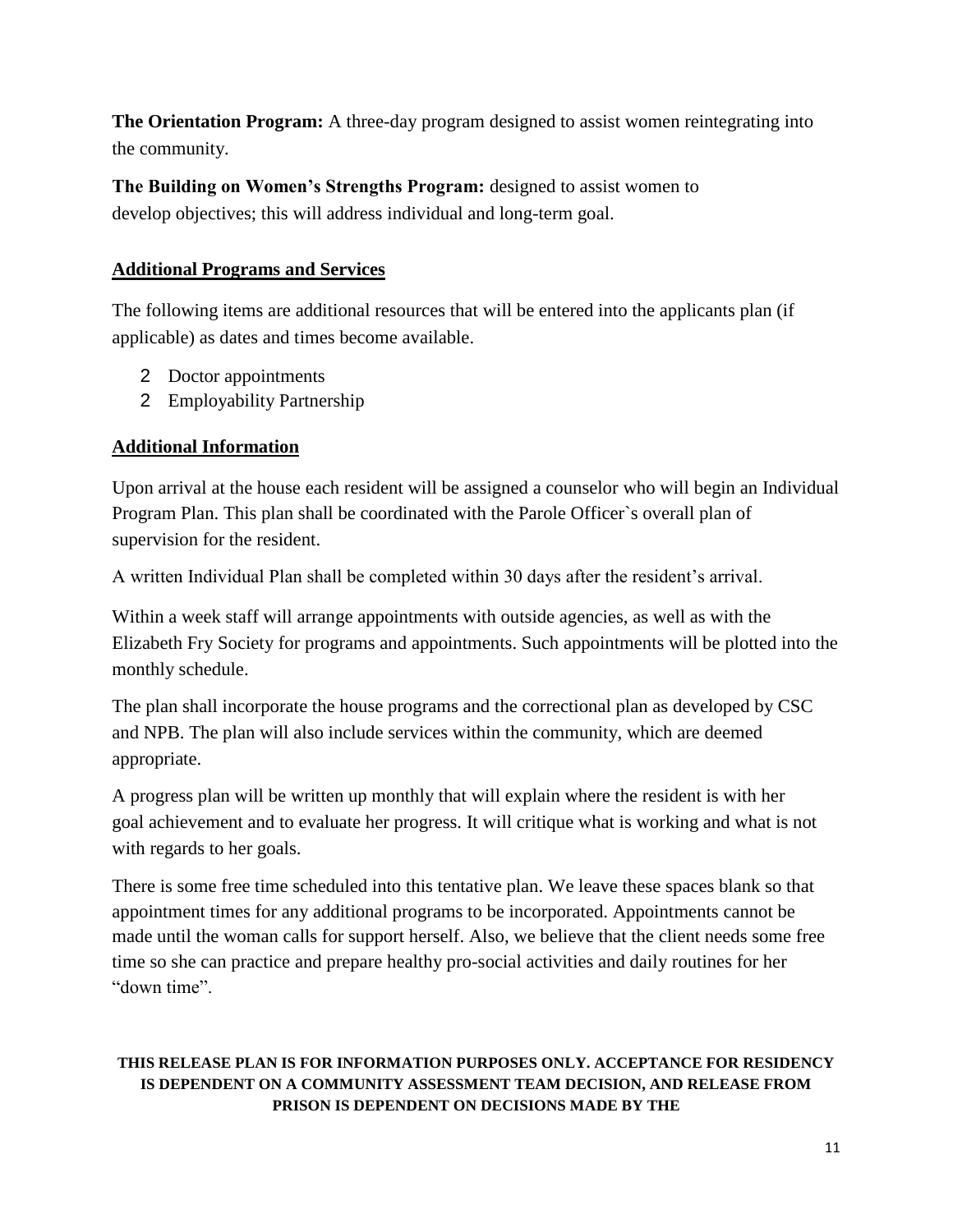**The Orientation Program:** A three-day program designed to assist women reintegrating into the community.

**The Building on Women's Strengths Program:** designed to assist women to develop objectives; this will address individual and long-term goal.

#### **Additional Programs and Services**

The following items are additional resources that will be entered into the applicants plan (if applicable) as dates and times become available.

- 2 Doctor appointments
- 2 Employability Partnership

#### **Additional Information**

Upon arrival at the house each resident will be assigned a counselor who will begin an Individual Program Plan. This plan shall be coordinated with the Parole Officer`s overall plan of supervision for the resident.

A written Individual Plan shall be completed within 30 days after the resident's arrival.

Within a week staff will arrange appointments with outside agencies, as well as with the Elizabeth Fry Society for programs and appointments. Such appointments will be plotted into the monthly schedule.

The plan shall incorporate the house programs and the correctional plan as developed by CSC and NPB. The plan will also include services within the community, which are deemed appropriate.

A progress plan will be written up monthly that will explain where the resident is with her goal achievement and to evaluate her progress. It will critique what is working and what is not with regards to her goals.

There is some free time scheduled into this tentative plan. We leave these spaces blank so that appointment times for any additional programs to be incorporated. Appointments cannot be made until the woman calls for support herself. Also, we believe that the client needs some free time so she can practice and prepare healthy pro-social activities and daily routines for her "down time".

#### **THIS RELEASE PLAN IS FOR INFORMATION PURPOSES ONLY. ACCEPTANCE FOR RESIDENCY IS DEPENDENT ON A COMMUNITY ASSESSMENT TEAM DECISION, AND RELEASE FROM PRISON IS DEPENDENT ON DECISIONS MADE BY THE**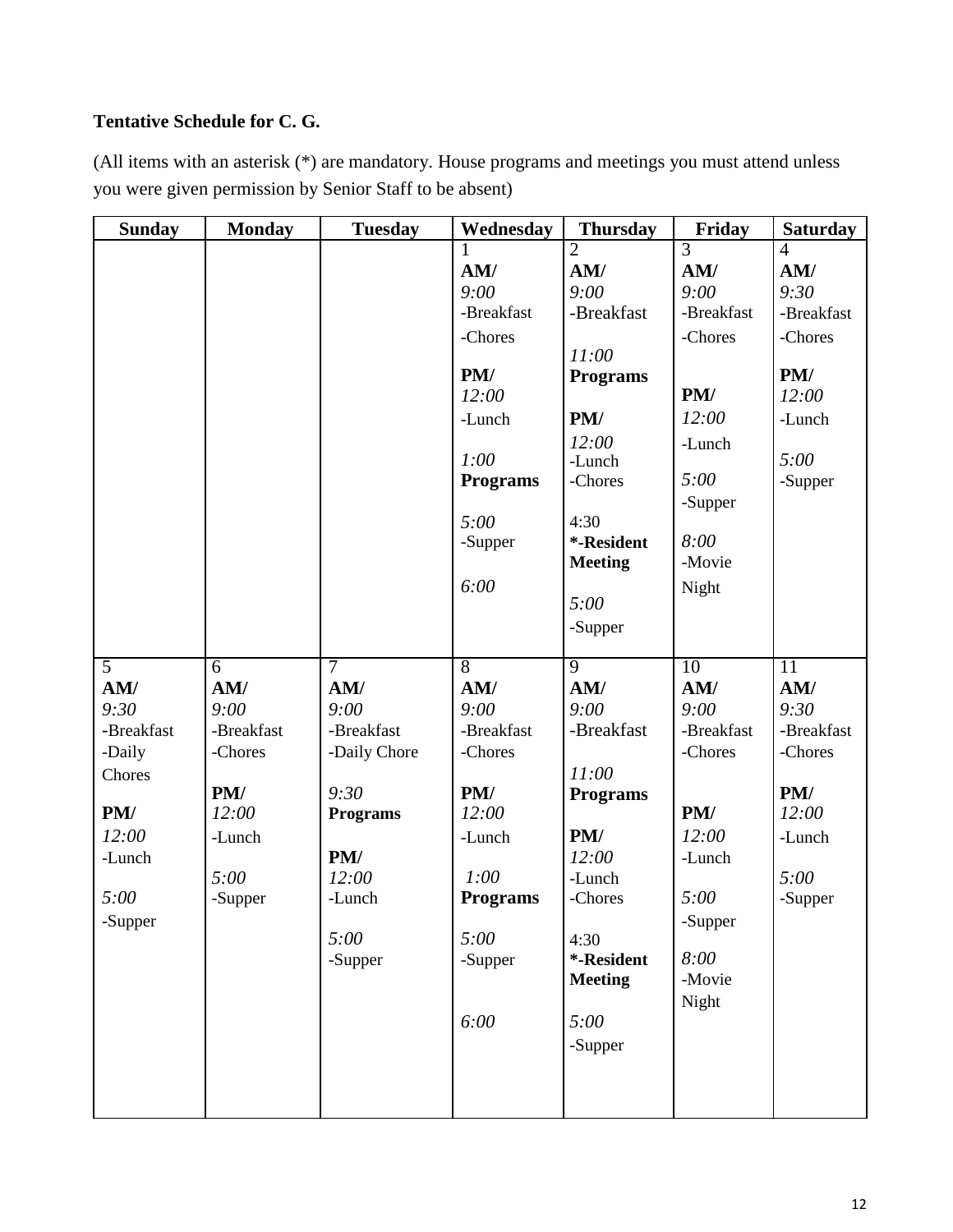#### **Tentative Schedule for C. G.**

(All items with an asterisk (\*) are mandatory. House programs and meetings you must attend unless you were given permission by Senior Staff to be absent)

| <b>Sunday</b>                                                                              | <b>Monday</b>                                                                     | <b>Tuesday</b>                                                                                                    | Wednesday                                                                                                                              | <b>Thursday</b>                                                                                                                                                                           | Friday                                                                                                                               | <b>Saturday</b>                                                                                           |
|--------------------------------------------------------------------------------------------|-----------------------------------------------------------------------------------|-------------------------------------------------------------------------------------------------------------------|----------------------------------------------------------------------------------------------------------------------------------------|-------------------------------------------------------------------------------------------------------------------------------------------------------------------------------------------|--------------------------------------------------------------------------------------------------------------------------------------|-----------------------------------------------------------------------------------------------------------|
| $\overline{5}$                                                                             | $\overline{6}$                                                                    | 7                                                                                                                 | AM/<br>9:00<br>-Breakfast<br>-Chores<br>PM/<br>12:00<br>-Lunch<br>1:00<br><b>Programs</b><br>5:00<br>-Supper<br>6:00<br>$\overline{8}$ | $\overline{2}$<br>AM/<br>9:00<br>-Breakfast<br>11:00<br><b>Programs</b><br>PM/<br>12:00<br>-Lunch<br>-Chores<br>4:30<br>*-Resident<br><b>Meeting</b><br>5:00<br>-Supper<br>$\overline{9}$ | $\overline{3}$<br>AM/<br>9:00<br>-Breakfast<br>-Chores<br>PM/<br>12:00<br>-Lunch<br>5:00<br>-Supper<br>8:00<br>-Movie<br>Night<br>10 | $\overline{4}$<br>AM/<br>9:30<br>-Breakfast<br>-Chores<br>PM/<br>12:00<br>-Lunch<br>5:00<br>-Supper<br>11 |
| AM/<br>9:30<br>-Breakfast<br>-Daily<br>Chores<br>PM/<br>12:00<br>-Lunch<br>5:00<br>-Supper | AM/<br>9:00<br>-Breakfast<br>-Chores<br>PM/<br>12:00<br>-Lunch<br>5:00<br>-Supper | AM/<br>9:00<br>-Breakfast<br>-Daily Chore<br>9:30<br><b>Programs</b><br>PM/<br>12:00<br>-Lunch<br>5:00<br>-Supper | AM/<br>9:00<br>-Breakfast<br>-Chores<br>PM/<br>12:00<br>-Lunch<br>1:00<br><b>Programs</b><br>5:00<br>-Supper<br>6:00                   | AM/<br>9:00<br>-Breakfast<br>11:00<br><b>Programs</b><br>PM/<br>12:00<br>-Lunch<br>-Chores<br>4:30<br>*-Resident<br><b>Meeting</b><br>5:00<br>-Supper                                     | AM/<br>9:00<br>-Breakfast<br>-Chores<br>PM/<br>12:00<br>-Lunch<br>5:00<br>-Supper<br>8:00<br>-Movie<br>Night                         | AM/<br>9:30<br>-Breakfast<br>-Chores<br>PM/<br>12:00<br>-Lunch<br>5:00<br>-Supper                         |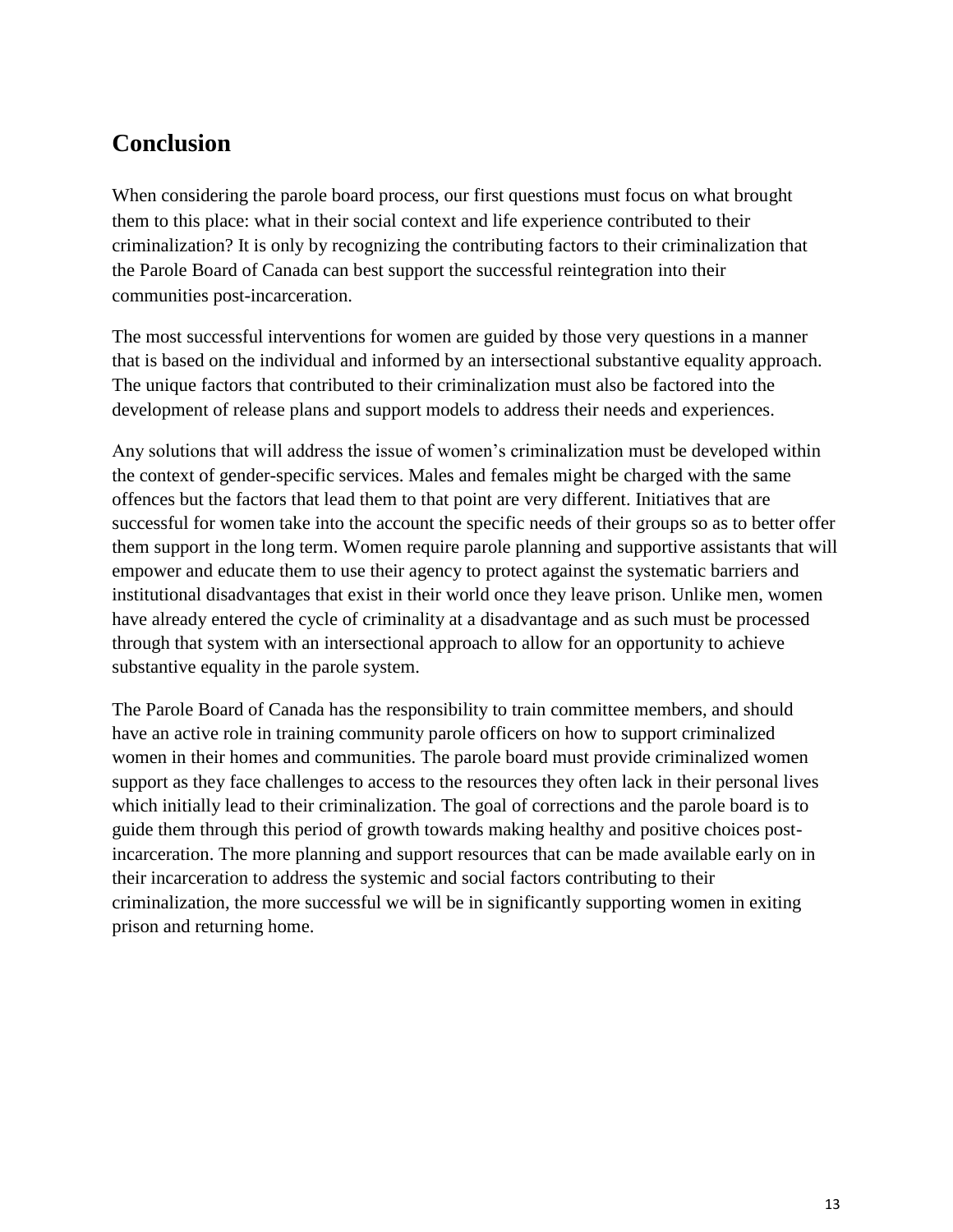## <span id="page-13-0"></span>**Conclusion**

When considering the parole board process, our first questions must focus on what brought them to this place: what in their social context and life experience contributed to their criminalization? It is only by recognizing the contributing factors to their criminalization that the Parole Board of Canada can best support the successful reintegration into their communities post-incarceration.

The most successful interventions for women are guided by those very questions in a manner that is based on the individual and informed by an intersectional substantive equality approach. The unique factors that contributed to their criminalization must also be factored into the development of release plans and support models to address their needs and experiences.

Any solutions that will address the issue of women's criminalization must be developed within the context of gender-specific services. Males and females might be charged with the same offences but the factors that lead them to that point are very different. Initiatives that are successful for women take into the account the specific needs of their groups so as to better offer them support in the long term. Women require parole planning and supportive assistants that will empower and educate them to use their agency to protect against the systematic barriers and institutional disadvantages that exist in their world once they leave prison. Unlike men, women have already entered the cycle of criminality at a disadvantage and as such must be processed through that system with an intersectional approach to allow for an opportunity to achieve substantive equality in the parole system.

<span id="page-13-1"></span>The Parole Board of Canada has the responsibility to train committee members, and should have an active role in training community parole officers on how to support criminalized women in their homes and communities. The parole board must provide criminalized women support as they face challenges to access to the resources they often lack in their personal lives which initially lead to their criminalization. The goal of corrections and the parole board is to guide them through this period of growth towards making healthy and positive choices postincarceration. The more planning and support resources that can be made available early on in their incarceration to address the systemic and social factors contributing to their criminalization, the more successful we will be in significantly supporting women in exiting prison and returning home.